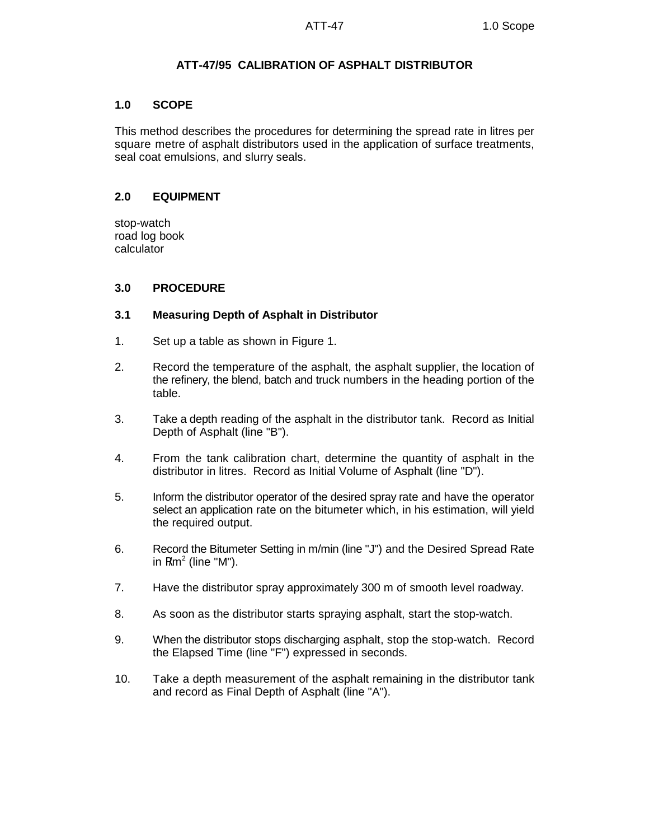## **ATT-47/95 CALIBRATION OF ASPHALT DISTRIBUTOR**

## **1.0 SCOPE**

This method describes the procedures for determining the spread rate in litres per square metre of asphalt distributors used in the application of surface treatments, seal coat emulsions, and slurry seals.

## **2.0 EQUIPMENT**

stop-watch road log book calculator

## **3.0 PROCEDURE**

#### **3.1 Measuring Depth of Asphalt in Distributor**

- 1. Set up a table as shown in Figure 1.
- 2. Record the temperature of the asphalt, the asphalt supplier, the location of the refinery, the blend, batch and truck numbers in the heading portion of the table.
- 3. Take a depth reading of the asphalt in the distributor tank. Record as Initial Depth of Asphalt (line "B").
- 4. From the tank calibration chart, determine the quantity of asphalt in the distributor in litres. Record as Initial Volume of Asphalt (line "D").
- 5. Inform the distributor operator of the desired spray rate and have the operator select an application rate on the bitumeter which, in his estimation, will yield the required output.
- 6. Record the Bitumeter Setting in m/min (line "J") and the Desired Spread Rate in  $R/m^2$  (line "M").
- 7. Have the distributor spray approximately 300 m of smooth level roadway.
- 8. As soon as the distributor starts spraying asphalt, start the stop-watch.
- 9. When the distributor stops discharging asphalt, stop the stop-watch. Record the Elapsed Time (line "F") expressed in seconds.
- 10. Take a depth measurement of the asphalt remaining in the distributor tank and record as Final Depth of Asphalt (line "A").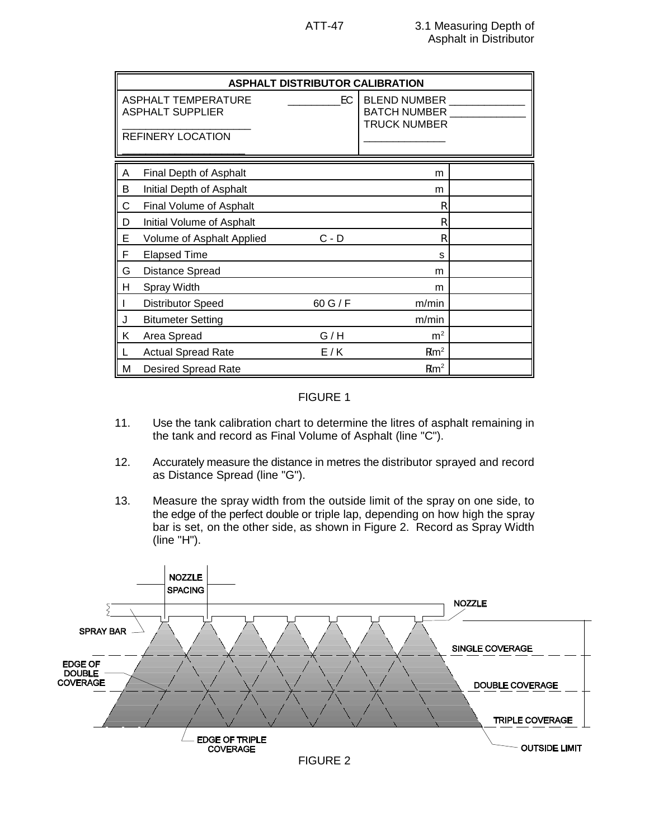| <b>ASPHALT DISTRIBUTOR CALIBRATION</b>                                            |                            |         |                                                                   |  |
|-----------------------------------------------------------------------------------|----------------------------|---------|-------------------------------------------------------------------|--|
| EC.<br>ASPHALT TEMPERATURE<br><b>ASPHALT SUPPLIER</b><br><b>REFINERY LOCATION</b> |                            |         | <b>BLEND NUMBER</b><br><b>BATCH NUMBER</b><br><b>TRUCK NUMBER</b> |  |
| A                                                                                 | Final Depth of Asphalt     |         | m                                                                 |  |
| В                                                                                 | Initial Depth of Asphalt   |         | m                                                                 |  |
| C                                                                                 | Final Volume of Asphalt    |         | R                                                                 |  |
| D                                                                                 | Initial Volume of Asphalt  |         | R                                                                 |  |
| E                                                                                 | Volume of Asphalt Applied  | $C - D$ | R                                                                 |  |
| F                                                                                 | <b>Elapsed Time</b>        |         | S                                                                 |  |
| G                                                                                 | <b>Distance Spread</b>     |         | m                                                                 |  |
| н                                                                                 | Spray Width                |         | m                                                                 |  |
|                                                                                   | <b>Distributor Speed</b>   | 60 G/F  | m/min                                                             |  |
| J                                                                                 | <b>Bitumeter Setting</b>   |         | m/min                                                             |  |
| Κ                                                                                 | Area Spread                | G/H     | m <sup>2</sup>                                                    |  |
|                                                                                   | <b>Actual Spread Rate</b>  | E/K     | R/m <sup>2</sup>                                                  |  |
| М                                                                                 | <b>Desired Spread Rate</b> |         | R/m <sup>2</sup>                                                  |  |

## FIGURE 1

- 11. Use the tank calibration chart to determine the litres of asphalt remaining in the tank and record as Final Volume of Asphalt (line "C").
- 12. Accurately measure the distance in metres the distributor sprayed and record as Distance Spread (line "G").
- 13. Measure the spray width from the outside limit of the spray on one side, to the edge of the perfect double or triple lap, depending on how high the spray bar is set, on the other side, as shown in Figure 2. Record as Spray Width (line "H").

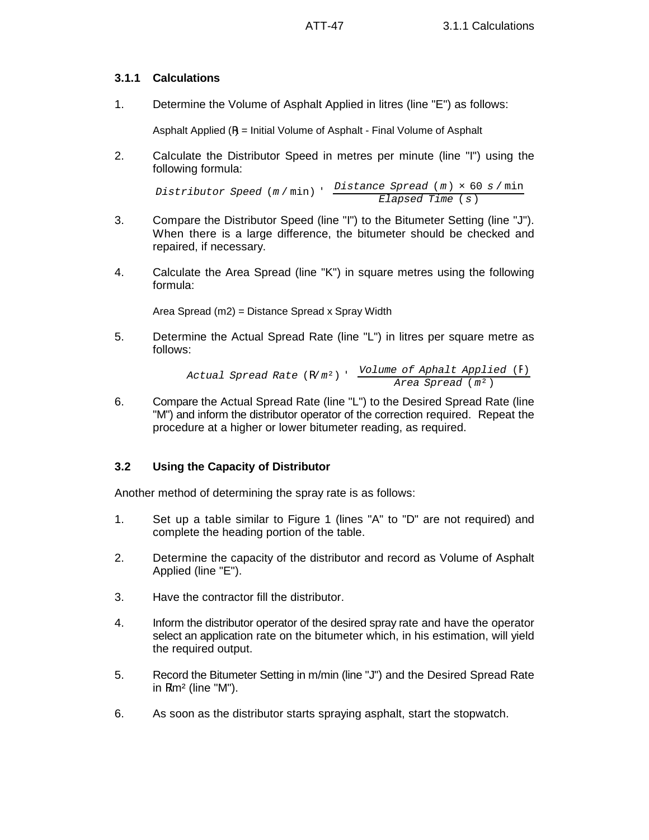# **3.1.1 Calculations**

1. Determine the Volume of Asphalt Applied in litres (line "E") as follows:

Asphalt Applied (R) = Initial Volume of Asphalt - Final Volume of Asphalt

2. Calculate the Distributor Speed in metres per minute (line "I") using the following formula:

*Distributor Speed* (*m* / min) ' *Distance Spread* (*m*) × 60 *s* / min *Elapsed Time* (*s*)

- 3. Compare the Distributor Speed (line "I") to the Bitumeter Setting (line "J"). When there is a large difference, the bitumeter should be checked and repaired, if necessary.
- 4. Calculate the Area Spread (line "K") in square metres using the following formula:

Area Spread (m2) = Distance Spread x Spray Width

5. Determine the Actual Spread Rate (line "L") in litres per square metre as follows:

> *Actual Spread Rate* (R/*m*²) ' *Volume of Aphalt Applied* (R) *Area Spread* (*m*²)

6. Compare the Actual Spread Rate (line "L") to the Desired Spread Rate (line "M") and inform the distributor operator of the correction required. Repeat the procedure at a higher or lower bitumeter reading, as required.

# **3.2 Using the Capacity of Distributor**

Another method of determining the spray rate is as follows:

- 1. Set up a table similar to Figure 1 (lines "A" to "D" are not required) and complete the heading portion of the table.
- 2. Determine the capacity of the distributor and record as Volume of Asphalt Applied (line "E").
- 3. Have the contractor fill the distributor.
- 4. Inform the distributor operator of the desired spray rate and have the operator select an application rate on the bitumeter which, in his estimation, will yield the required output.
- 5. Record the Bitumeter Setting in m/min (line "J") and the Desired Spread Rate in  $R/m^2$  (line "M").
- 6. As soon as the distributor starts spraying asphalt, start the stopwatch.